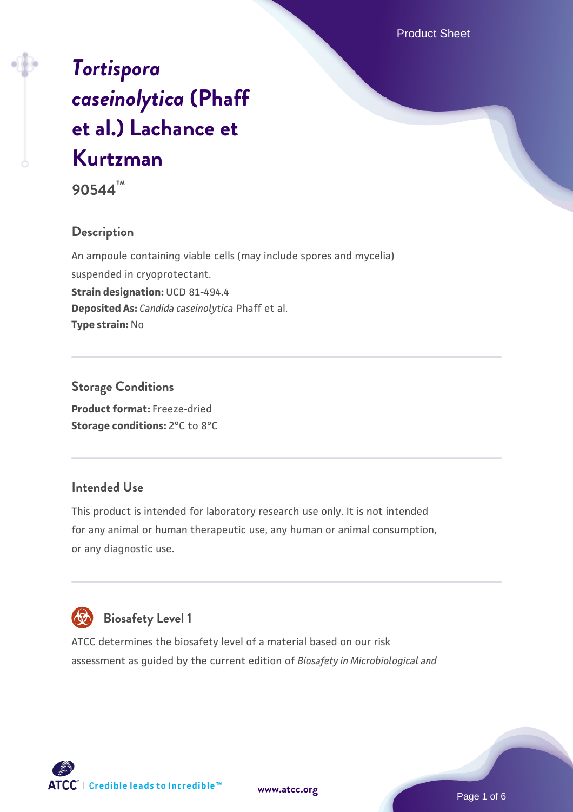# *[Tortispora](https://www.atcc.org/products/90544) [caseinolytica](https://www.atcc.org/products/90544)* **[\(Phaff](https://www.atcc.org/products/90544) [et al.\) Lachance et](https://www.atcc.org/products/90544) [Kurtzman](https://www.atcc.org/products/90544)**

**90544™**

# **Description**

An ampoule containing viable cells (may include spores and mycelia) suspended in cryoprotectant. **Strain designation:** UCD 81-494.4 **Deposited As:** *Candida caseinolytica* Phaff et al. **Type strain:** No

**Storage Conditions Product format:** Freeze-dried **Storage conditions:** 2°C to 8°C

## **Intended Use**

This product is intended for laboratory research use only. It is not intended for any animal or human therapeutic use, any human or animal consumption, or any diagnostic use.



# **Biosafety Level 1**

ATCC determines the biosafety level of a material based on our risk assessment as guided by the current edition of *Biosafety in Microbiological and*

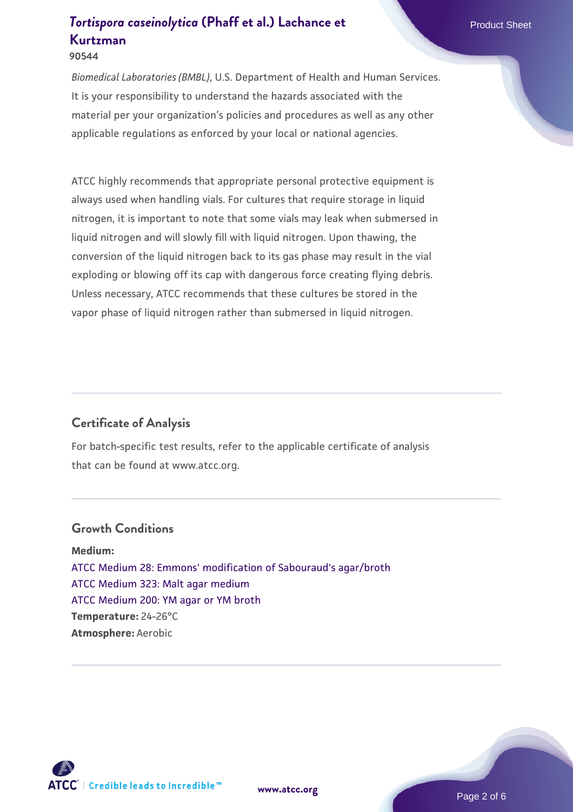*Biomedical Laboratories (BMBL)*, U.S. Department of Health and Human Services. It is your responsibility to understand the hazards associated with the material per your organization's policies and procedures as well as any other applicable regulations as enforced by your local or national agencies.

ATCC highly recommends that appropriate personal protective equipment is always used when handling vials. For cultures that require storage in liquid nitrogen, it is important to note that some vials may leak when submersed in liquid nitrogen and will slowly fill with liquid nitrogen. Upon thawing, the conversion of the liquid nitrogen back to its gas phase may result in the vial exploding or blowing off its cap with dangerous force creating flying debris. Unless necessary, ATCC recommends that these cultures be stored in the vapor phase of liquid nitrogen rather than submersed in liquid nitrogen.

# **Certificate of Analysis**

For batch-specific test results, refer to the applicable certificate of analysis that can be found at www.atcc.org.

#### **Growth Conditions**

**Medium:**  [ATCC Medium 28: Emmons' modification of Sabouraud's agar/broth](https://www.atcc.org/-/media/product-assets/documents/microbial-media-formulations/2/8/atcc-medium-28.pdf?rev=0da0c58cc2a343eeae735016b70809bb) [ATCC Medium 323: Malt agar medium](https://www.atcc.org/-/media/product-assets/documents/microbial-media-formulations/3/2/3/atcc-medium-323.pdf?rev=58d6457ee20149d7a1c844947569ef92) [ATCC Medium 200: YM agar or YM broth](https://www.atcc.org/-/media/product-assets/documents/microbial-media-formulations/2/0/0/atcc-medium-200.pdf?rev=ac40fd74dc13433a809367b0b9da30fc) **Temperature:** 24-26°C **Atmosphere:** Aerobic



**[www.atcc.org](http://www.atcc.org)**

Page 2 of 6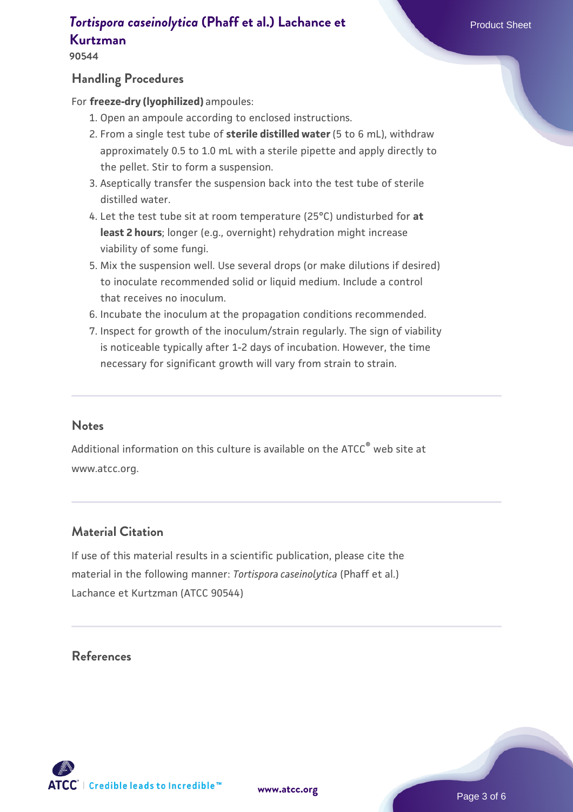**90544**

#### **Handling Procedures**

For **freeze-dry (lyophilized)** ampoules:

- 1. Open an ampoule according to enclosed instructions.
- 2. From a single test tube of **sterile distilled water** (5 to 6 mL), withdraw approximately 0.5 to 1.0 mL with a sterile pipette and apply directly to the pellet. Stir to form a suspension.
- 3. Aseptically transfer the suspension back into the test tube of sterile distilled water.
- Let the test tube sit at room temperature (25°C) undisturbed for **at** 4. **least 2 hours**; longer (e.g., overnight) rehydration might increase viability of some fungi.
- Mix the suspension well. Use several drops (or make dilutions if desired) 5. to inoculate recommended solid or liquid medium. Include a control that receives no inoculum.
- 6. Incubate the inoculum at the propagation conditions recommended.
- 7. Inspect for growth of the inoculum/strain regularly. The sign of viability is noticeable typically after 1-2 days of incubation. However, the time necessary for significant growth will vary from strain to strain.

#### **Notes**

Additional information on this culture is available on the ATCC® web site at www.atcc.org.

# **Material Citation**

If use of this material results in a scientific publication, please cite the material in the following manner: *Tortispora caseinolytica* (Phaff et al.) Lachance et Kurtzman (ATCC 90544)

## **References**

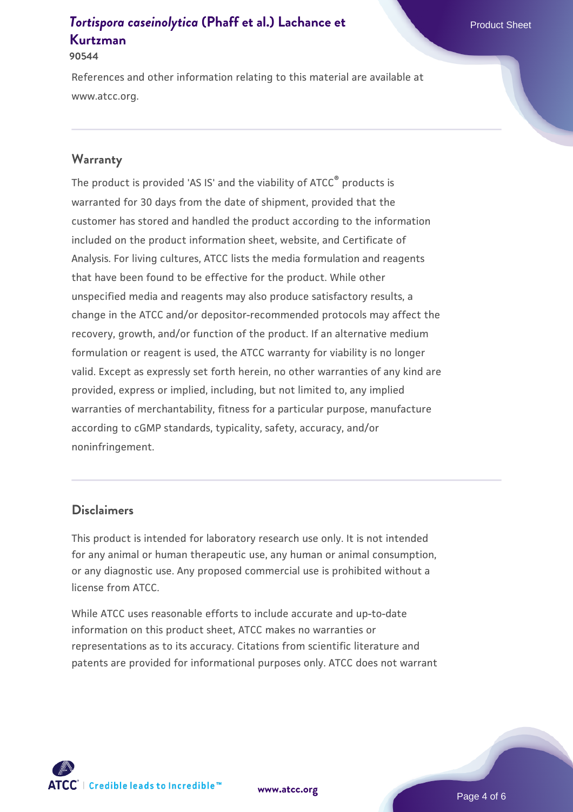**90544**

References and other information relating to this material are available at www.atcc.org.

#### **Warranty**

The product is provided 'AS IS' and the viability of ATCC® products is warranted for 30 days from the date of shipment, provided that the customer has stored and handled the product according to the information included on the product information sheet, website, and Certificate of Analysis. For living cultures, ATCC lists the media formulation and reagents that have been found to be effective for the product. While other unspecified media and reagents may also produce satisfactory results, a change in the ATCC and/or depositor-recommended protocols may affect the recovery, growth, and/or function of the product. If an alternative medium formulation or reagent is used, the ATCC warranty for viability is no longer valid. Except as expressly set forth herein, no other warranties of any kind are provided, express or implied, including, but not limited to, any implied warranties of merchantability, fitness for a particular purpose, manufacture according to cGMP standards, typicality, safety, accuracy, and/or noninfringement.

#### **Disclaimers**

This product is intended for laboratory research use only. It is not intended for any animal or human therapeutic use, any human or animal consumption, or any diagnostic use. Any proposed commercial use is prohibited without a license from ATCC.

While ATCC uses reasonable efforts to include accurate and up-to-date information on this product sheet, ATCC makes no warranties or representations as to its accuracy. Citations from scientific literature and patents are provided for informational purposes only. ATCC does not warrant

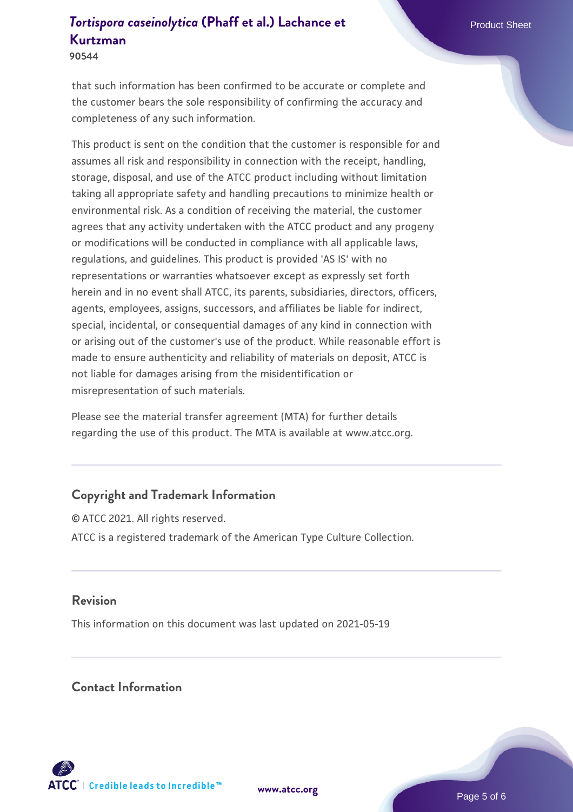**90544**

that such information has been confirmed to be accurate or complete and the customer bears the sole responsibility of confirming the accuracy and completeness of any such information.

This product is sent on the condition that the customer is responsible for and assumes all risk and responsibility in connection with the receipt, handling, storage, disposal, and use of the ATCC product including without limitation taking all appropriate safety and handling precautions to minimize health or environmental risk. As a condition of receiving the material, the customer agrees that any activity undertaken with the ATCC product and any progeny or modifications will be conducted in compliance with all applicable laws, regulations, and guidelines. This product is provided 'AS IS' with no representations or warranties whatsoever except as expressly set forth herein and in no event shall ATCC, its parents, subsidiaries, directors, officers, agents, employees, assigns, successors, and affiliates be liable for indirect, special, incidental, or consequential damages of any kind in connection with or arising out of the customer's use of the product. While reasonable effort is made to ensure authenticity and reliability of materials on deposit, ATCC is not liable for damages arising from the misidentification or misrepresentation of such materials.

Please see the material transfer agreement (MTA) for further details regarding the use of this product. The MTA is available at www.atcc.org.

# **Copyright and Trademark Information**

© ATCC 2021. All rights reserved. ATCC is a registered trademark of the American Type Culture Collection.

## **Revision**

This information on this document was last updated on 2021-05-19

## **Contact Information**



**[www.atcc.org](http://www.atcc.org)**